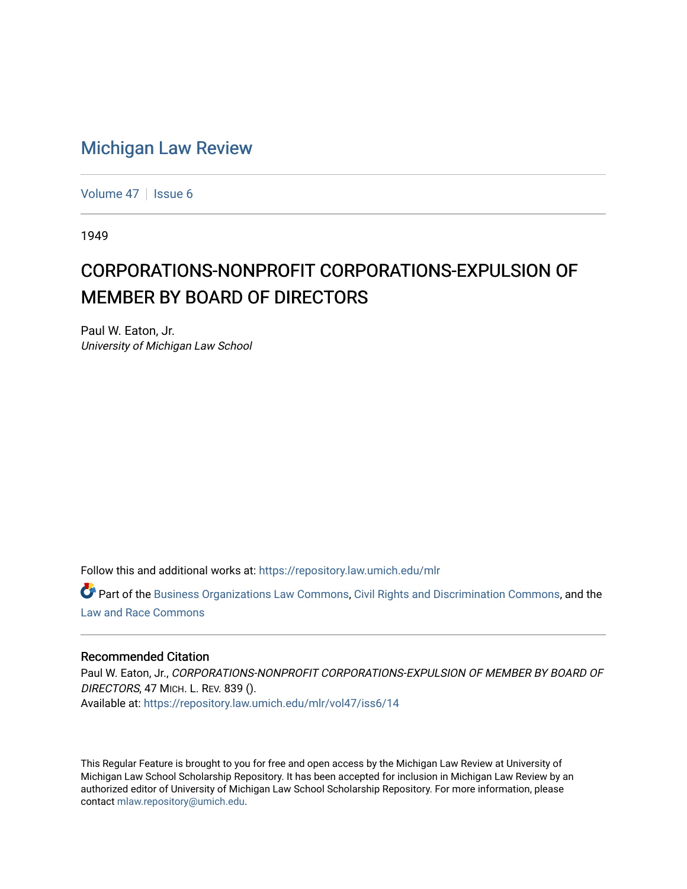## [Michigan Law Review](https://repository.law.umich.edu/mlr)

[Volume 47](https://repository.law.umich.edu/mlr/vol47) | [Issue 6](https://repository.law.umich.edu/mlr/vol47/iss6)

1949

## CORPORATIONS-NONPROFIT CORPORATIONS-EXPULSION OF MEMBER BY BOARD OF DIRECTORS

Paul W. Eaton, Jr. University of Michigan Law School

Follow this and additional works at: [https://repository.law.umich.edu/mlr](https://repository.law.umich.edu/mlr?utm_source=repository.law.umich.edu%2Fmlr%2Fvol47%2Fiss6%2F14&utm_medium=PDF&utm_campaign=PDFCoverPages) 

Part of the [Business Organizations Law Commons](http://network.bepress.com/hgg/discipline/900?utm_source=repository.law.umich.edu%2Fmlr%2Fvol47%2Fiss6%2F14&utm_medium=PDF&utm_campaign=PDFCoverPages), [Civil Rights and Discrimination Commons](http://network.bepress.com/hgg/discipline/585?utm_source=repository.law.umich.edu%2Fmlr%2Fvol47%2Fiss6%2F14&utm_medium=PDF&utm_campaign=PDFCoverPages), and the [Law and Race Commons](http://network.bepress.com/hgg/discipline/1300?utm_source=repository.law.umich.edu%2Fmlr%2Fvol47%2Fiss6%2F14&utm_medium=PDF&utm_campaign=PDFCoverPages) 

## Recommended Citation

Paul W. Eaton, Jr., CORPORATIONS-NONPROFIT CORPORATIONS-EXPULSION OF MEMBER BY BOARD OF DIRECTORS, 47 MICH. L. REV. 839 (). Available at: [https://repository.law.umich.edu/mlr/vol47/iss6/14](https://repository.law.umich.edu/mlr/vol47/iss6/14?utm_source=repository.law.umich.edu%2Fmlr%2Fvol47%2Fiss6%2F14&utm_medium=PDF&utm_campaign=PDFCoverPages) 

This Regular Feature is brought to you for free and open access by the Michigan Law Review at University of Michigan Law School Scholarship Repository. It has been accepted for inclusion in Michigan Law Review by an authorized editor of University of Michigan Law School Scholarship Repository. For more information, please contact [mlaw.repository@umich.edu](mailto:mlaw.repository@umich.edu).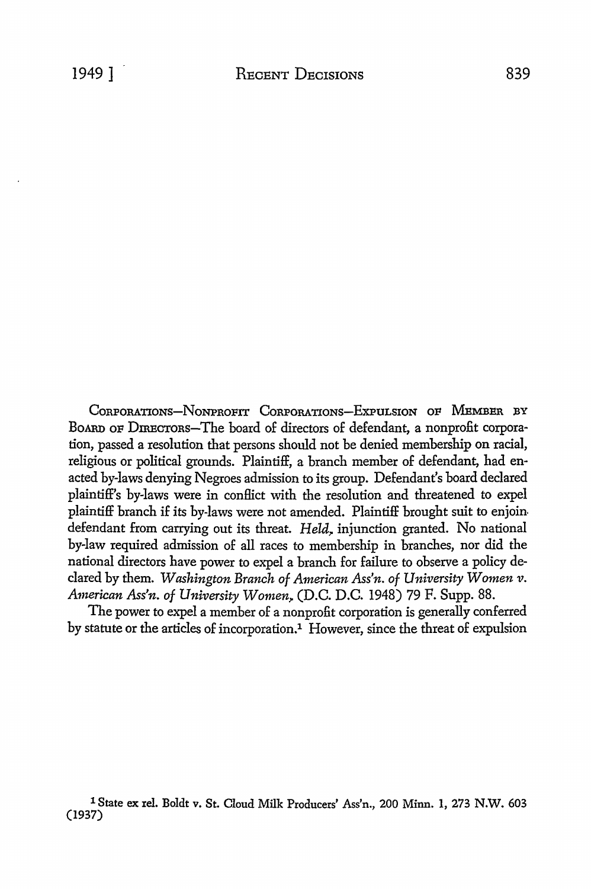CORPORATIONS-NONPROFIT CORPORATIONS-EXPULSION OF MEMBER BY BoARD OF DIRECTORS-The board of directors of defendant, a nonprofit corporation, passed a resolution that persons should not be denied membership on racial, religious or political grounds. Plaintiff, a branch member of defendant, had enacted by-laws denying Negroes admission to its group. Defendant's board declared plaintiff's by-laws were in conflict with the resolution and threatened to expel plaintiff branch if its by-laws were not amended. Plaintiff brought suit to enjoin defendant from carrying out its threat. *Held*, injunction granted. No national by-law required admission of all races to membership in branches, nor did the national directors have power to expel a branch for failure to observe a policy declared by them. *Washington Branch of American Ass'n. of University Women v. American Ass'n. of University Women~* (D.C. D.C. 1948) 79 F. Supp. 88.

The power to expel a member of a nonprofit corporation is generally conferred by statute or the articles of incorporation.<sup>1</sup> However, since the threat of expulsion

1 State ex rel. Boldt v. St. Cloud Milk Producers' Ass'n., 200 Minn. 1, 273 N.W. 603 (1937)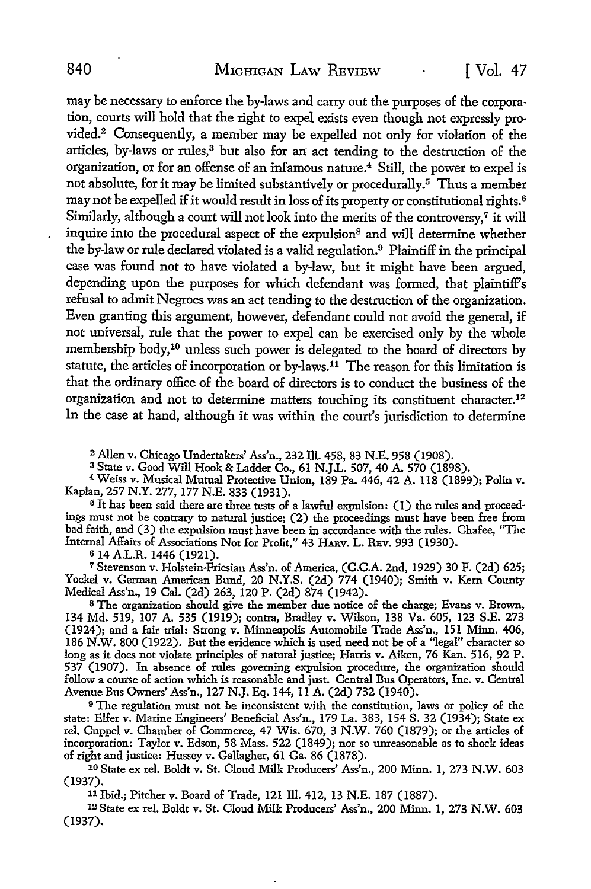may be necessary to enforce the by-laws and carry out the purposes of the corporation, courts will hold that the right to expel exists even though not expressly provided.2 Consequently, a member may be expelled not only for violation of the articles, by-laws or rules,<sup>3</sup> but also for an act tending to the destruction of the organization, or for an offense of an infamous nature.4 Still, the power to expel is not absolute, for it may be limited substantively or procedurally.5 Thus a member may not be expelled if it would result in loss of its property or constitutional rights. <sup>6</sup> Similarly, although a court will not look into the merits of the controversy, $7$  it will inquire into the procedural aspect of the expulsion<sup>8</sup> and will determine whether the by-law or rule declared violated is a valid regulation. 9 Plaintiff in the principal case was found not to have violated a by-law, but it might have been argued, depending upon the purposes for which defendant was formed, that plaintiff's refusal to admit Negroes was an act tending to the destruction of the organization. Even granting this argument, however, defendant could not avoid the general, if not universal, rule that the power to expel can be exercised only by the whole membership body, 10 unless such power is delegated to the board of directors by statute, the articles of incorporation or by-laws.11 The reason for this limitation is that the ordinary office of the board of directors is to conduct the business of the organization and not to determine matters touching its constituent character.<sup>12</sup> In the case at hand, although it was within the court's jurisdiction to determine

<sup>2</sup> Allen v. Chicago Undertakers' Ass'n., 232 Ill. 458, 83 N.E. 958 (1908).<br><sup>3</sup> State v. Good Will Hook & Ladder Co., 61 N.J.L. 507, 40 A. 570 (1898).<br><sup>4</sup> Weiss v. Musical Mutual Protective Union, 189 Pa. 446, 42 A. 118 (1

5 It has been said there are three tests of a lawful expulsion: (1) the rules and proceedings must not be contrary to natural justice; (2) the proceedings must have been free from bad faith, and (3) the expulsion must have been in accordance with the rules. Chafee, "The Internal Affairs of Associations Not for Profit,'' 43 HARv. L. REv. 993 (1930).

s 14 A.L.R. 1446 (1921).

<sup>7</sup>Stevenson v. Holstein-Friesian Ass'n. of America, (C.C.A. 2nd, 1929) 30 F. (2d) 625; Yockel v. German American Bund, 20 N.Y.S. (2d) 774 (1940); Smith v. Kern County Medical Ass'n., 19 Cal. (2d) 263, 120 P. (2d) 874 (1942).

<sup>8</sup>The organization should give the member due notice of the charge; Evans v. Brown, 134 Md. 519, 107 A. 535 (1919); contra, Bradley v. Wilson, 138 Va. 605, 123 S.E. 273 (1924); and a fair trial: Strong v. Minneapolis Automobile Trade Ass'n., 151 Minn. 406, 186 **N.W.** 800 (1922). But the evidence which is used need not be of a "legal" character so long as **it** does not violate principles of natural justice; Harris v. Aiken, 76 Kan. 516, 92 P. 537 (1907). In absence of rules governing expulsion procedure, the organization should follow a course of action which is reasonable and just. Central Bus Operators, Inc. v. Central Avenue Bus Owners' Ass'n., 127 N.J. Eq. 144, 11 A. (2d) 732 (1940).

<sup>9</sup>The regulation must not be inconsistent with the constitution, laws or policy of the state: Elfer v. Marine Engineers' Beneficial Ass'n., 179 La. 383, 154 S. 32 (1934); State ex rel. Cuppel v. Chamber of Commerce, 47 Wis. 670, 3 N.W. 760 (1879); or the articles of incorporation: Taylor v. Edson, 58 Mass. 522 (1849); nor so unreasonable as to shock ideas of right and justice: Hussey v. Gallagher, 61 Ga. 86 (1878).

10 State ex rel. Boldt v. St. Cloud Milk Producers' Ass'n., 200 Minn. 1, 273 **N.W.** 603 (1937).

<sup>11</sup>Ibid.; Pitcher v. Board of Trade, 121 ill. 412, 13 N.E. 187 (1887).

<sup>1</sup>2 State ex rel. Boldt v. St. Cloud Milk Producers' Ass'n., 200 Minn. 1, 273 N.W. 603 (1937).